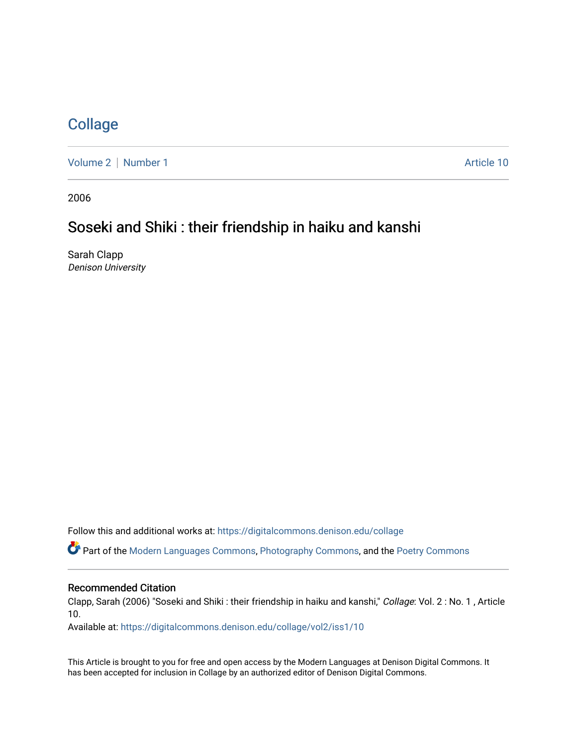## **[Collage](https://digitalcommons.denison.edu/collage)**

[Volume 2](https://digitalcommons.denison.edu/collage/vol2) | [Number 1](https://digitalcommons.denison.edu/collage/vol2/iss1) Article 10

2006

## Soseki and Shiki : their friendship in haiku and kanshi

Sarah Clapp Denison University

Follow this and additional works at: [https://digitalcommons.denison.edu/collage](https://digitalcommons.denison.edu/collage?utm_source=digitalcommons.denison.edu%2Fcollage%2Fvol2%2Fiss1%2F10&utm_medium=PDF&utm_campaign=PDFCoverPages) 

Part of the [Modern Languages Commons,](http://network.bepress.com/hgg/discipline/1130?utm_source=digitalcommons.denison.edu%2Fcollage%2Fvol2%2Fiss1%2F10&utm_medium=PDF&utm_campaign=PDFCoverPages) [Photography Commons](http://network.bepress.com/hgg/discipline/1142?utm_source=digitalcommons.denison.edu%2Fcollage%2Fvol2%2Fiss1%2F10&utm_medium=PDF&utm_campaign=PDFCoverPages), and the [Poetry Commons](http://network.bepress.com/hgg/discipline/1153?utm_source=digitalcommons.denison.edu%2Fcollage%2Fvol2%2Fiss1%2F10&utm_medium=PDF&utm_campaign=PDFCoverPages)

## Recommended Citation

Clapp, Sarah (2006) "Soseki and Shiki : their friendship in haiku and kanshi," Collage: Vol. 2 : No. 1 , Article 10.

Available at: [https://digitalcommons.denison.edu/collage/vol2/iss1/10](https://digitalcommons.denison.edu/collage/vol2/iss1/10?utm_source=digitalcommons.denison.edu%2Fcollage%2Fvol2%2Fiss1%2F10&utm_medium=PDF&utm_campaign=PDFCoverPages)

This Article is brought to you for free and open access by the Modern Languages at Denison Digital Commons. It has been accepted for inclusion in Collage by an authorized editor of Denison Digital Commons.